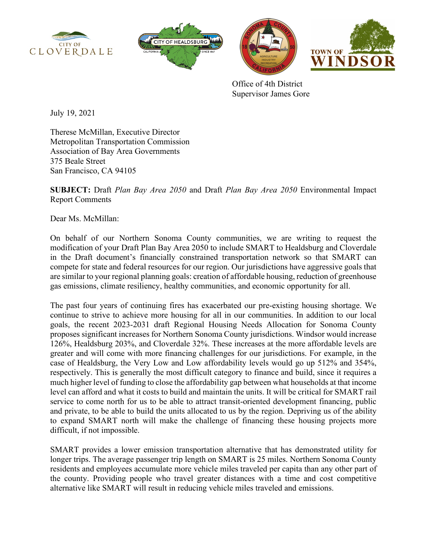







Office of 4th District Supervisor James Gore

July 19, 2021

Therese McMillan, Executive Director Metropolitan Transportation Commission Association of Bay Area Governments 375 Beale Street San Francisco, CA 94105

**SUBJECT:** Draft *Plan Bay Area 2050* and Draft *Plan Bay Area 2050* Environmental Impact Report Comments

Dear Ms. McMillan:

On behalf of our Northern Sonoma County communities, we are writing to request the modification of your Draft Plan Bay Area 2050 to include SMART to Healdsburg and Cloverdale in the Draft document's financially constrained transportation network so that SMART can compete for state and federal resources for our region. Our jurisdictions have aggressive goals that are similar to your regional planning goals: creation of affordable housing, reduction of greenhouse gas emissions, climate resiliency, healthy communities, and economic opportunity for all.

The past four years of continuing fires has exacerbated our pre-existing housing shortage. We continue to strive to achieve more housing for all in our communities. In addition to our local goals, the recent 2023-2031 draft Regional Housing Needs Allocation for Sonoma County proposes significant increases for Northern Sonoma County jurisdictions. Windsor would increase 126%, Healdsburg 203%, and Cloverdale 32%. These increases at the more affordable levels are greater and will come with more financing challenges for our jurisdictions. For example, in the case of Healdsburg, the Very Low and Low affordability levels would go up 512% and 354%, respectively. This is generally the most difficult category to finance and build, since it requires a much higher level of funding to close the affordability gap between what households at that income level can afford and what it costs to build and maintain the units. It will be critical for SMART rail service to come north for us to be able to attract transit-oriented development financing, public and private, to be able to build the units allocated to us by the region. Depriving us of the ability to expand SMART north will make the challenge of financing these housing projects more difficult, if not impossible.

SMART provides a lower emission transportation alternative that has demonstrated utility for longer trips. The average passenger trip length on SMART is 25 miles. Northern Sonoma County residents and employees accumulate more vehicle miles traveled per capita than any other part of the county. Providing people who travel greater distances with a time and cost competitive alternative like SMART will result in reducing vehicle miles traveled and emissions.